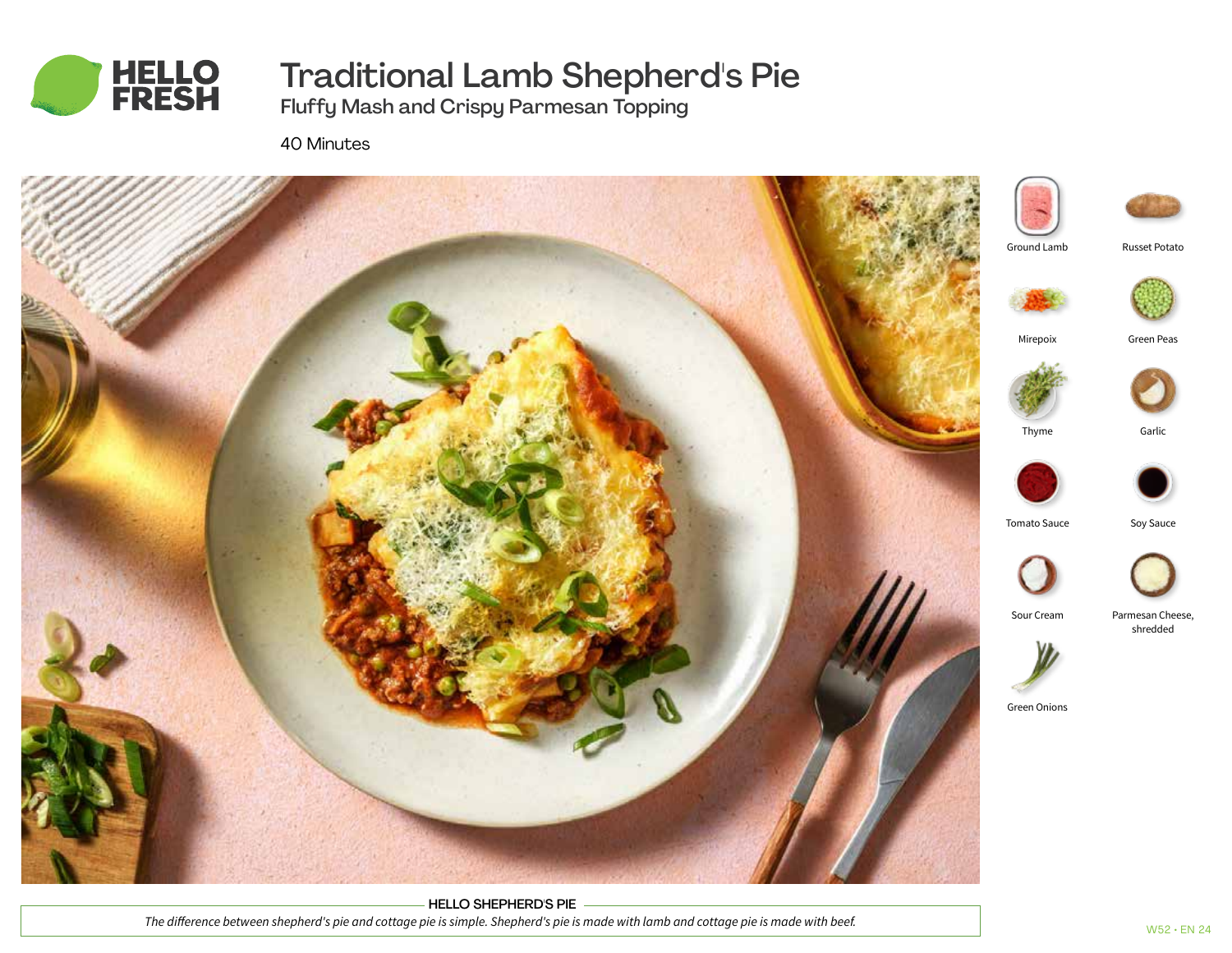

# Traditional Lamb Shepherd's Pie

Fluffy Mash and Crispy Parmesan Topping

40 Minutes